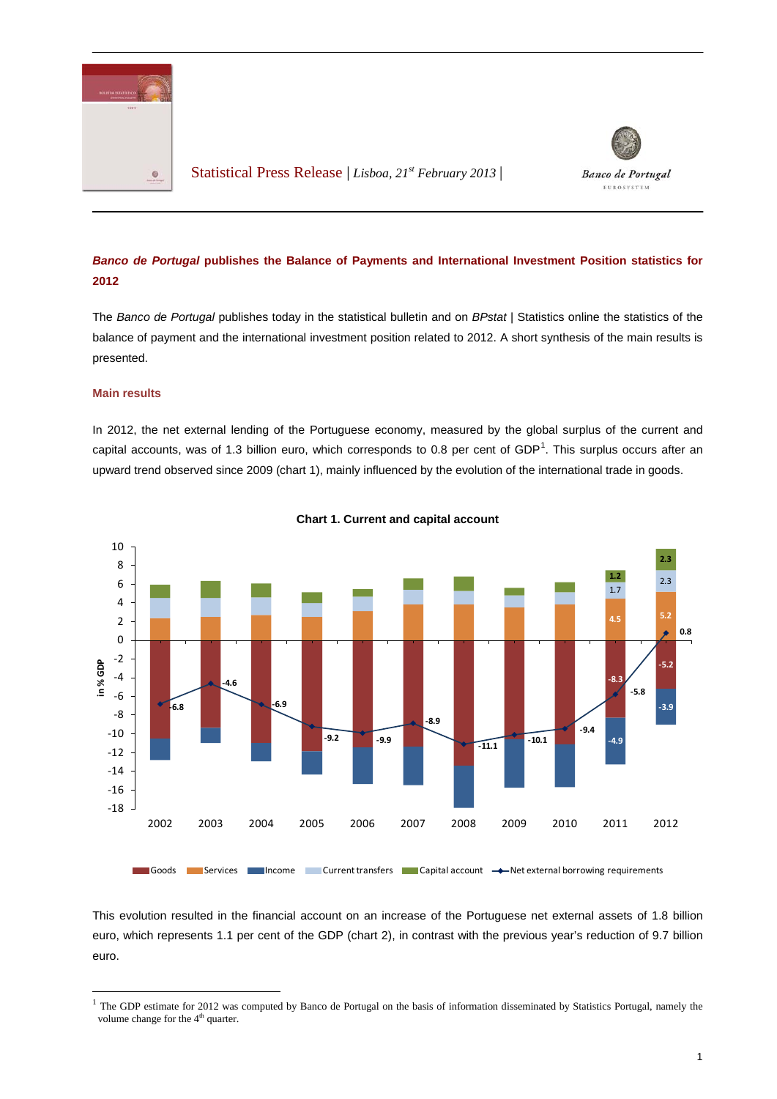

Statistical Press Release | *Lisboa, 21st February 2013* |



## *Banco de Portugal* **publishes the Balance of Payments and International Investment Position statistics for 2012**

The *Banco de Portugal* publishes today in the statistical bulletin and on *BPstat* | Statistics online the statistics of the balance of payment and the international investment position related to 2012. A short synthesis of the main results is presented.

## **Main results**

In 2012, the net external lending of the Portuguese economy, measured by the global surplus of the current and capital accounts, was of [1](#page-0-0).3 billion euro, which corresponds to 0.8 per cent of  $GDP<sup>1</sup>$ . This surplus occurs after an upward trend observed since 2009 (chart 1), mainly influenced by the evolution of the international trade in goods.





Goods Services Income Current transfers Capital account  $\rightarrow$  Net external borrowing requirements

This evolution resulted in the financial account on an increase of the Portuguese net external assets of 1.8 billion euro, which represents 1.1 per cent of the GDP (chart 2), in contrast with the previous year's reduction of 9.7 billion euro.

<span id="page-0-0"></span> $1$  The GDP estimate for 2012 was computed by Banco de Portugal on the basis of information disseminated by Statistics Portugal, namely the volume change for the 4<sup>th</sup> quarter.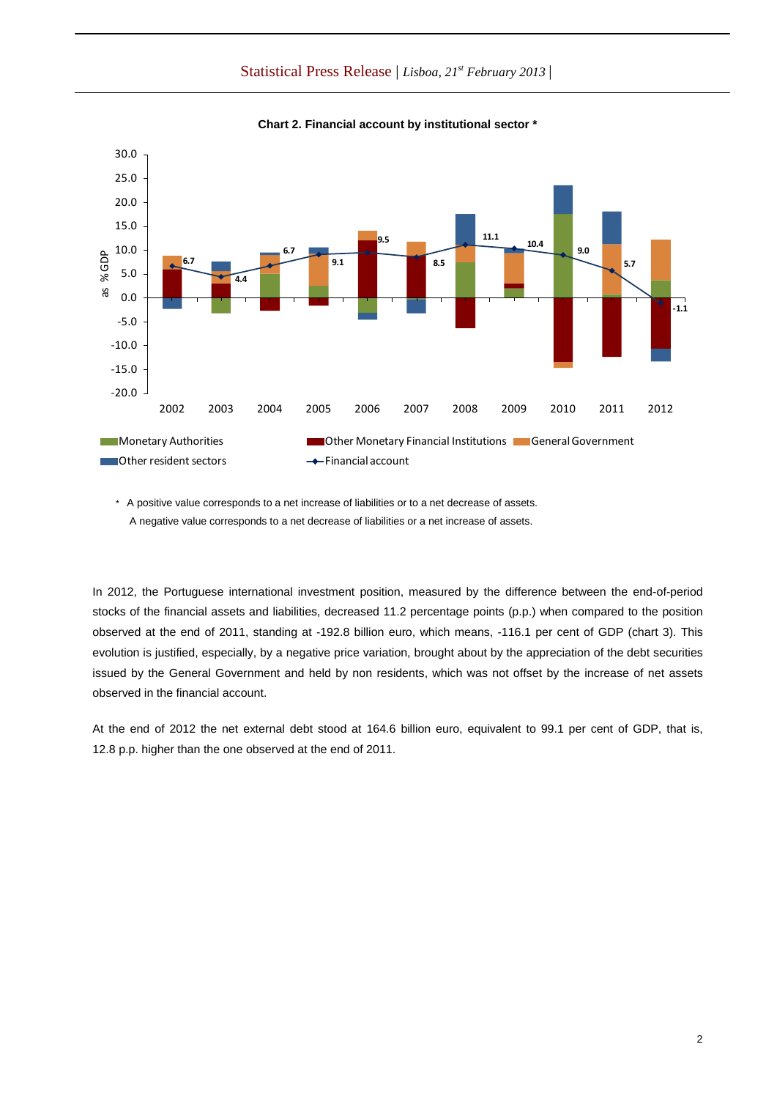Statistical Press Release | *Lisboa, 21st February 2013* |



**Chart 2. Financial account by institutional sector \***

\* A positive value corresponds to a net increase of liabilities or to a net decrease of assets. A negative value corresponds to a net decrease of liabilities or a net increase of assets.

In 2012, the Portuguese international investment position, measured by the difference between the end-of-period stocks of the financial assets and liabilities, decreased 11.2 percentage points (p.p.) when compared to the position observed at the end of 2011, standing at -192.8 billion euro, which means, -116.1 per cent of GDP (chart 3). This evolution is justified, especially, by a negative price variation, brought about by the appreciation of the debt securities issued by the General Government and held by non residents, which was not offset by the increase of net assets observed in the financial account.

At the end of 2012 the net external debt stood at 164.6 billion euro, equivalent to 99.1 per cent of GDP, that is, 12.8 p.p. higher than the one observed at the end of 2011.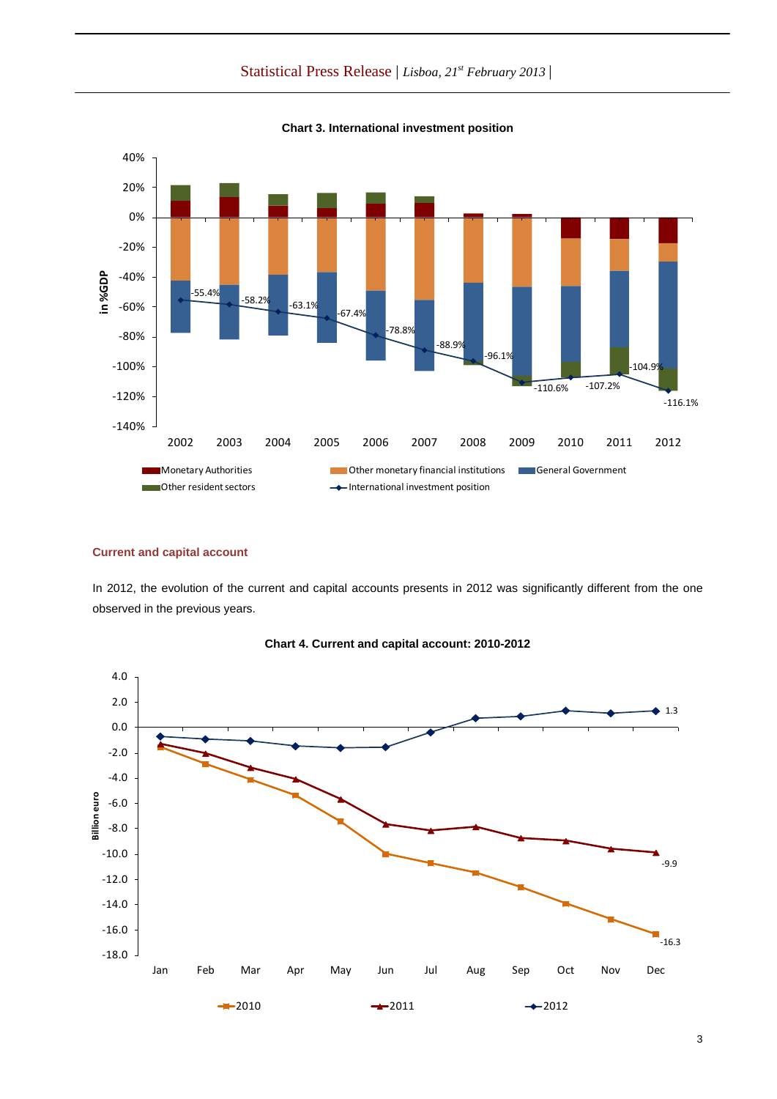Statistical Press Release | *Lisboa, 21st February 2013* |



**Chart 3. International investment position**

## **Current and capital account**

In 2012, the evolution of the current and capital accounts presents in 2012 was significantly different from the one observed in the previous years.



**Chart 4. Current and capital account: 2010-2012**